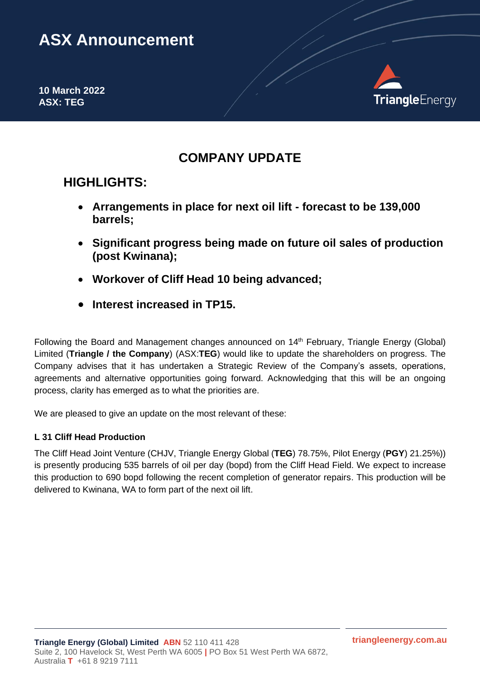# **ASX Announcement**

**10 March 2022 ASX: TEG**



# **COMPANY UPDATE**

# **HIGHLIGHTS:**

- **Arrangements in place for next oil lift - forecast to be 139,000 barrels;**
- **Significant progress being made on future oil sales of production (post Kwinana);**
- **Workover of Cliff Head 10 being advanced;**
- **Interest increased in TP15.**

Following the Board and Management changes announced on 14<sup>th</sup> February, Triangle Energy (Global) Limited (**Triangle / the Company**) (ASX:**TEG**) would like to update the shareholders on progress. The Company advises that it has undertaken a Strategic Review of the Company's assets, operations, agreements and alternative opportunities going forward. Acknowledging that this will be an ongoing process, clarity has emerged as to what the priorities are.

We are pleased to give an update on the most relevant of these:

# **L 31 Cliff Head Production**

The Cliff Head Joint Venture (CHJV, Triangle Energy Global (**TEG**) 78.75%, Pilot Energy (**PGY**) 21.25%)) is presently producing 535 barrels of oil per day (bopd) from the Cliff Head Field. We expect to increase this production to 690 bopd following the recent completion of generator repairs. This production will be delivered to Kwinana, WA to form part of the next oil lift.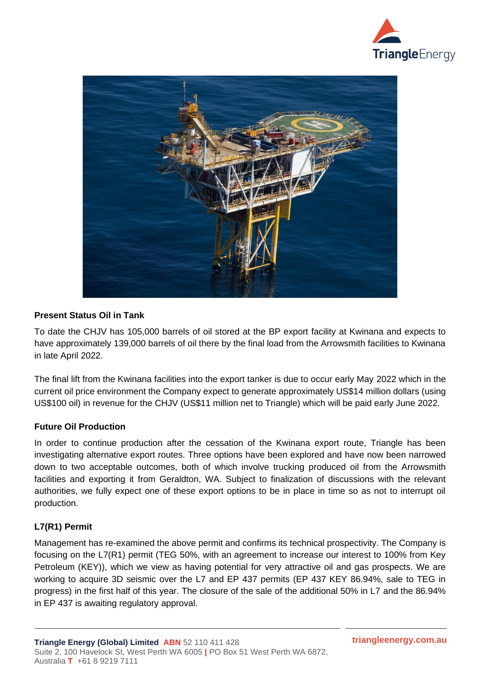



## **Present Status Oil in Tank**

To date the CHJV has 105,000 barrels of oil stored at the BP export facility at Kwinana and expects to have approximately 139,000 barrels of oil there by the final load from the Arrowsmith facilities to Kwinana in late April 2022.

The final lift from the Kwinana facilities into the export tanker is due to occur early May 2022 which in the current oil price environment the Company expect to generate approximately US\$14 million dollars (using US\$100 oil) in revenue for the CHJV (US\$11 million net to Triangle) which will be paid early June 2022.

## **Future Oil Production**

In order to continue production after the cessation of the Kwinana export route, Triangle has been investigating alternative export routes. Three options have been explored and have now been narrowed down to two acceptable outcomes, both of which involve trucking produced oil from the Arrowsmith facilities and exporting it from Geraldton, WA. Subject to finalization of discussions with the relevant authorities, we fully expect one of these export options to be in place in time so as not to interrupt oil production.

## **L7(R1) Permit**

Management has re-examined the above permit and confirms its technical prospectivity. The Company is focusing on the L7(R1) permit (TEG 50%, with an agreement to increase our interest to 100% from Key Petroleum (KEY)), which we view as having potential for very attractive oil and gas prospects. We are working to acquire 3D seismic over the L7 and EP 437 permits (EP 437 KEY 86.94%, sale to TEG in progress) in the first half of this year. The closure of the sale of the additional 50% in L7 and the 86.94% in EP 437 is awaiting regulatory approval.